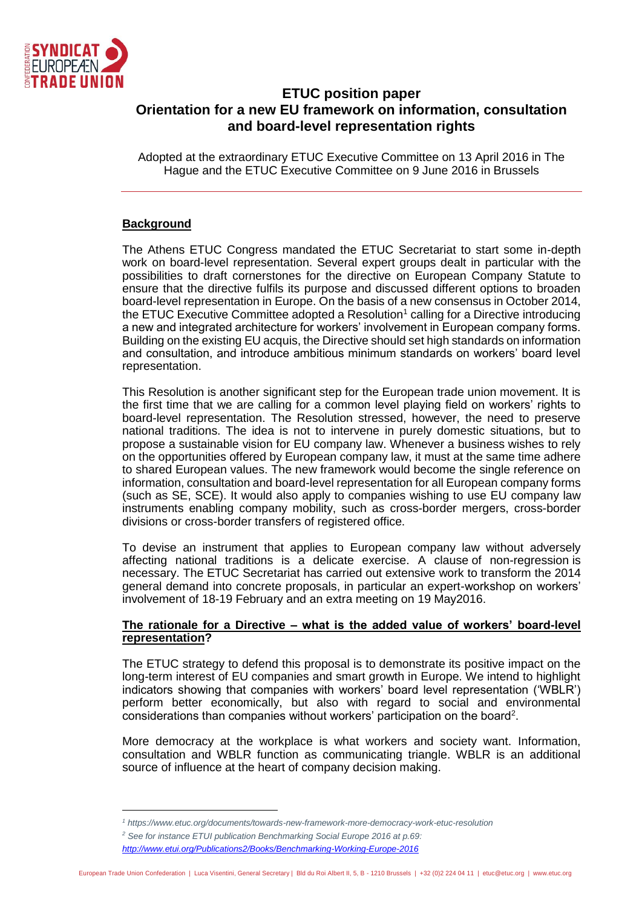

# **ETUC position paper Orientation for a new EU framework on information, consultation and board-level representation rights**

Adopted at the extraordinary ETUC Executive Committee on 13 April 2016 in The Hague and the ETUC Executive Committee on 9 June 2016 in Brussels

# **Background**

The Athens ETUC Congress mandated the ETUC Secretariat to start some in-depth work on board-level representation. Several expert groups dealt in particular with the possibilities to draft cornerstones for the directive on European Company Statute to ensure that the directive fulfils its purpose and discussed different options to broaden board-level representation in Europe. On the basis of a new consensus in October 2014, the ETUC Executive Committee adopted a Resolution<sup>1</sup> calling for a Directive introducing a new and integrated architecture for workers' involvement in European company forms. Building on the existing EU acquis, the Directive should set high standards on information and consultation, and introduce ambitious minimum standards on workers' board level representation.

This Resolution is another significant step for the European trade union movement. It is the first time that we are calling for a common level playing field on workers' rights to board-level representation. The Resolution stressed, however, the need to preserve national traditions. The idea is not to intervene in purely domestic situations, but to propose a sustainable vision for EU company law. Whenever a business wishes to rely on the opportunities offered by European company law, it must at the same time adhere to shared European values. The new framework would become the single reference on information, consultation and board-level representation for all European company forms (such as SE, SCE). It would also apply to companies wishing to use EU company law instruments enabling company mobility, such as cross-border mergers, cross-border divisions or cross-border transfers of registered office.

To devise an instrument that applies to European company law without adversely affecting national traditions is a delicate exercise. A clause of non-regression is necessary. The ETUC Secretariat has carried out extensive work to transform the 2014 general demand into concrete proposals, in particular an expert-workshop on workers' involvement of 18-19 February and an extra meeting on 19 May2016.

# **The rationale for a Directive – what is the added value of workers' board-level representation?**

The ETUC strategy to defend this proposal is to demonstrate its positive impact on the long-term interest of EU companies and smart growth in Europe. We intend to highlight indicators showing that companies with workers' board level representation ('WBLR') perform better economically, but also with regard to social and environmental considerations than companies without workers' participation on the board<sup>2</sup>.

More democracy at the workplace is what workers and society want. Information, consultation and WBLR function as communicating triangle. WBLR is an additional source of influence at the heart of company decision making.

*<sup>2</sup> See for instance ETUI publication Benchmarking Social Europe 2016 at p.69:* 

*<sup>1</sup> https://www.etuc.org/documents/towards-new-framework-more-democracy-work-etuc-resolution*

*<http://www.etui.org/Publications2/Books/Benchmarking-Working-Europe-2016>*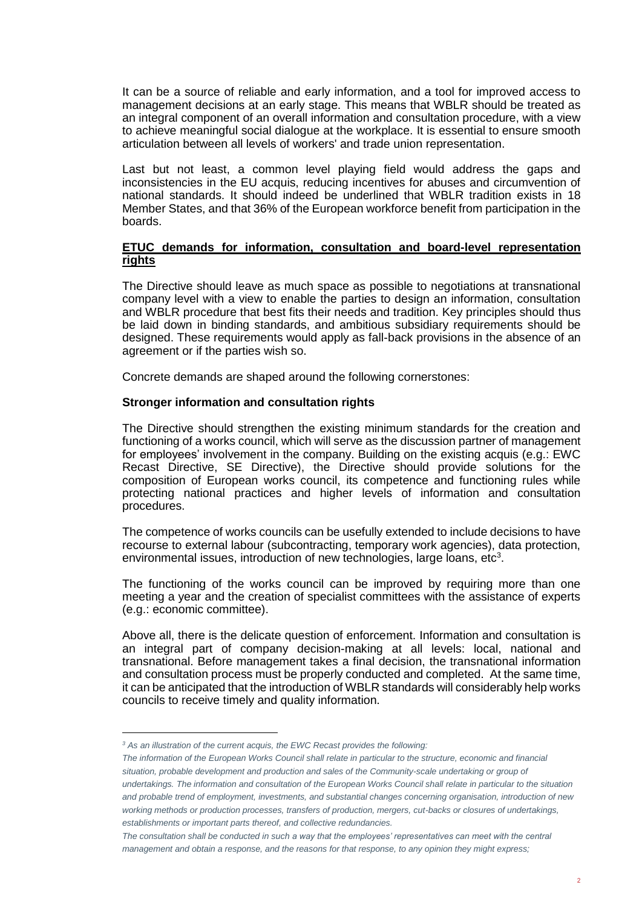It can be a source of reliable and early information, and a tool for improved access to management decisions at an early stage. This means that WBLR should be treated as an integral component of an overall information and consultation procedure, with a view to achieve meaningful social dialogue at the workplace. It is essential to ensure smooth articulation between all levels of workers' and trade union representation.

Last but not least, a common level playing field would address the gaps and inconsistencies in the EU acquis, reducing incentives for abuses and circumvention of national standards. It should indeed be underlined that WBLR tradition exists in 18 Member States, and that 36% of the European workforce benefit from participation in the boards.

## **ETUC demands for information, consultation and board-level representation rights**

The Directive should leave as much space as possible to negotiations at transnational company level with a view to enable the parties to design an information, consultation and WBLR procedure that best fits their needs and tradition. Key principles should thus be laid down in binding standards, and ambitious subsidiary requirements should be designed. These requirements would apply as fall-back provisions in the absence of an agreement or if the parties wish so.

Concrete demands are shaped around the following cornerstones:

### **Stronger information and consultation rights**

The Directive should strengthen the existing minimum standards for the creation and functioning of a works council, which will serve as the discussion partner of management for employees' involvement in the company. Building on the existing acquis (e.g.: EWC Recast Directive, SE Directive), the Directive should provide solutions for the composition of European works council, its competence and functioning rules while protecting national practices and higher levels of information and consultation procedures.

The competence of works councils can be usefully extended to include decisions to have recourse to external labour (subcontracting, temporary work agencies), data protection, environmental issues, introduction of new technologies, large loans, etc<sup>3</sup>.

The functioning of the works council can be improved by requiring more than one meeting a year and the creation of specialist committees with the assistance of experts (e.g.: economic committee).

Above all, there is the delicate question of enforcement. Information and consultation is an integral part of company decision-making at all levels: local, national and transnational. Before management takes a final decision, the transnational information and consultation process must be properly conducted and completed. At the same time, it can be anticipated that the introduction of WBLR standards will considerably help works councils to receive timely and quality information.

*<sup>3</sup> As an illustration of the current acquis, the EWC Recast provides the following:*

*The information of the European Works Council shall relate in particular to the structure, economic and financial situation, probable development and production and sales of the Community-scale undertaking or group of undertakings. The information and consultation of the European Works Council shall relate in particular to the situation and probable trend of employment, investments, and substantial changes concerning organisation, introduction of new working methods or production processes, transfers of production, mergers, cut-backs or closures of undertakings, establishments or important parts thereof, and collective redundancies.* 

*The consultation shall be conducted in such a way that the employees' representatives can meet with the central management and obtain a response, and the reasons for that response, to any opinion they might express;*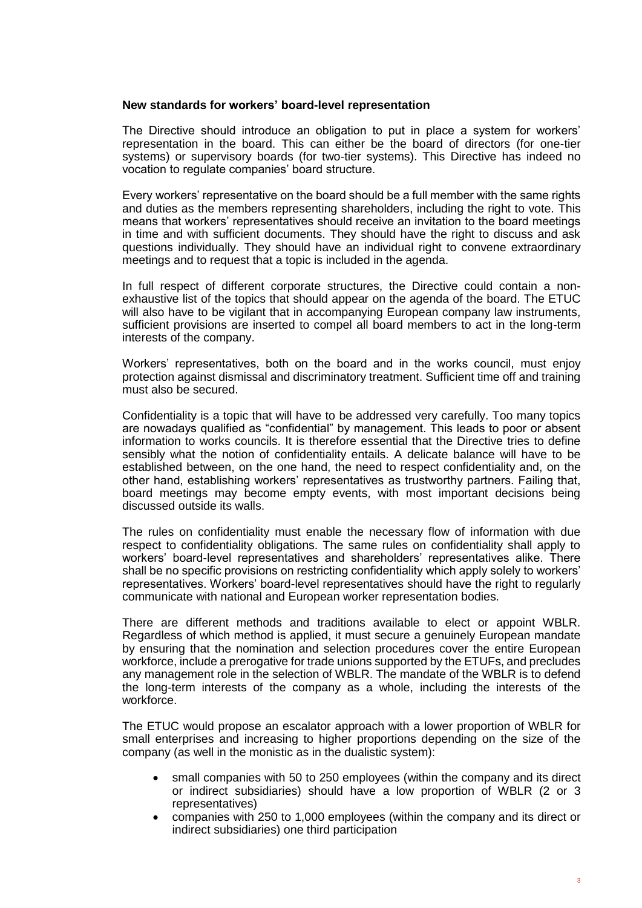### **New standards for workers' board-level representation**

The Directive should introduce an obligation to put in place a system for workers' representation in the board. This can either be the board of directors (for one-tier systems) or supervisory boards (for two-tier systems). This Directive has indeed no vocation to regulate companies' board structure.

Every workers' representative on the board should be a full member with the same rights and duties as the members representing shareholders, including the right to vote. This means that workers' representatives should receive an invitation to the board meetings in time and with sufficient documents. They should have the right to discuss and ask questions individually. They should have an individual right to convene extraordinary meetings and to request that a topic is included in the agenda.

In full respect of different corporate structures, the Directive could contain a nonexhaustive list of the topics that should appear on the agenda of the board. The ETUC will also have to be vigilant that in accompanying European company law instruments, sufficient provisions are inserted to compel all board members to act in the long-term interests of the company.

Workers' representatives, both on the board and in the works council, must enjoy protection against dismissal and discriminatory treatment. Sufficient time off and training must also be secured.

Confidentiality is a topic that will have to be addressed very carefully. Too many topics are nowadays qualified as "confidential" by management. This leads to poor or absent information to works councils. It is therefore essential that the Directive tries to define sensibly what the notion of confidentiality entails. A delicate balance will have to be established between, on the one hand, the need to respect confidentiality and, on the other hand, establishing workers' representatives as trustworthy partners. Failing that, board meetings may become empty events, with most important decisions being discussed outside its walls.

The rules on confidentiality must enable the necessary flow of information with due respect to confidentiality obligations. The same rules on confidentiality shall apply to workers' board-level representatives and shareholders' representatives alike. There shall be no specific provisions on restricting confidentiality which apply solely to workers' representatives. Workers' board-level representatives should have the right to regularly communicate with national and European worker representation bodies.

There are different methods and traditions available to elect or appoint WBLR. Regardless of which method is applied, it must secure a genuinely European mandate by ensuring that the nomination and selection procedures cover the entire European workforce, include a prerogative for trade unions supported by the ETUFs, and precludes any management role in the selection of WBLR. The mandate of the WBLR is to defend the long-term interests of the company as a whole, including the interests of the workforce.

The ETUC would propose an escalator approach with a lower proportion of WBLR for small enterprises and increasing to higher proportions depending on the size of the company (as well in the monistic as in the dualistic system):

- small companies with 50 to 250 employees (within the company and its direct or indirect subsidiaries) should have a low proportion of WBLR (2 or 3 representatives)
- companies with 250 to 1,000 employees (within the company and its direct or indirect subsidiaries) one third participation